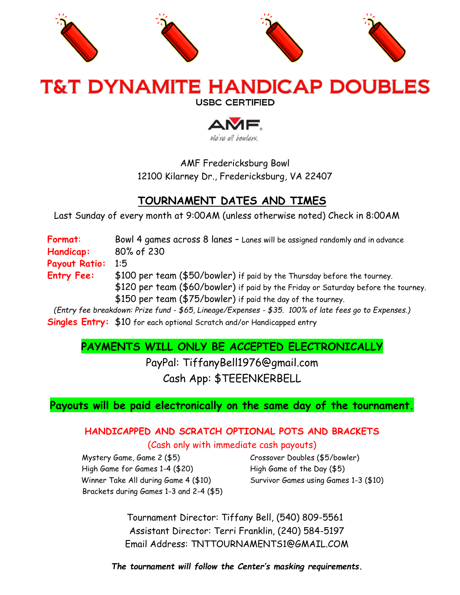

# **T&T DYNAMITE HANDICAP DOUBLES USBC CERTIFIED**



#### AMF Fredericksburg Bowl 12100 Kilarney Dr., Fredericksburg, VA 22407

## **TOURNAMENT DATES AND TIMES**

Last Sunday of every month at 9:00AM (unless otherwise noted) Check in 8:00AM

| <b>Format:</b>       | Bowl 4 games across 8 lanes - Lanes will be assigned randomly and in advance                        |
|----------------------|-----------------------------------------------------------------------------------------------------|
| <b>Handicap:</b>     | 80% of 230                                                                                          |
| <b>Payout Ratio:</b> | 1:5                                                                                                 |
| <b>Entry Fee:</b>    | \$100 per team (\$50/bowler) if paid by the Thursday before the tourney.                            |
|                      | \$120 per team (\$60/bowler) if paid by the Friday or Saturday before the tourney.                  |
|                      | \$150 per team (\$75/bowler) if paid the day of the tourney.                                        |
|                      | $(Entm, f_{00}$ broakdown: Drive fund $K5$ Lineage/Expanses $K25$ 100% of late fees as to Expanses) |

*(Entry fee breakdown: Prize fund - \$65, Lineage/Expenses - \$35. 100% of late fees go to Expenses.)* **Singles Entry:** \$10 for each optional Scratch and/or Handicapped entry

### **PAYMENTS WILL ONLY BE ACCEPTED ELECTRONICALLY**

PayPal: TiffanyBell1976@gmail.com Cash App: \$TEEENKERBELL

### **Payouts will be paid electronically on the same day of the tournament.**

#### **HANDICAPPED AND SCRATCH OPTIONAL POTS AND BRACKETS**

(Cash only with immediate cash payouts)

Mystery Game, Game 2 (\$5) Crossover Doubles (\$5/bowler) High Game for Games 1-4 (\$20) High Game of the Day (\$5) Winner Take All during Game 4 (\$10) Survivor Games using Games 1-3 (\$10) Brackets during Games 1-3 and 2-4 (\$5)

Tournament Director: Tiffany Bell, (540) 809-5561 Assistant Director: Terri Franklin, (240) 584-5197 Email Address: TNTTOURNAMENTS1@GMAIL.COM

*The tournament will follow the Center's masking requirements.*